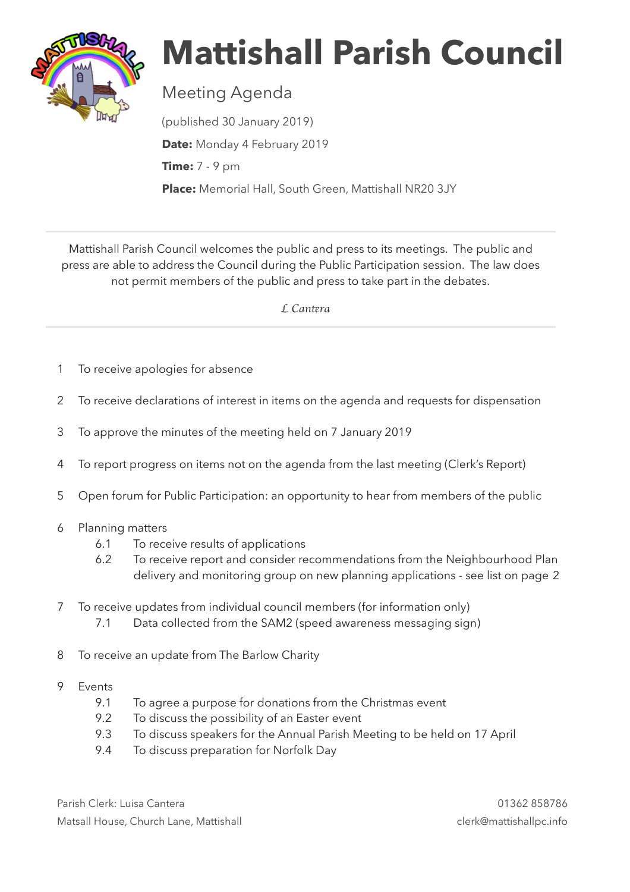

## **Mattishall Parish Council**

## Meeting Agenda

(published 30 January 2019) **Date:** Monday 4 February 2019 **Time:** 7 - 9 pm **Place:** Memorial Hall, South Green, Mattishall NR20 3JY

Mattishall Parish Council welcomes the public and press to its meetings. The public and press are able to address the Council during the Public Participation session. The law does not permit members of the public and press to take part in the debates.

 *L Can*t*ra*

- 1 To receive apologies for absence
- 2 To receive declarations of interest in items on the agenda and requests for dispensation
- 3 To approve the minutes of the meeting held on 7 January 2019
- 4 To report progress on items not on the agenda from the last meeting (Clerk's Report)
- 5 Open forum for Public Participation: an opportunity to hear from members of the public
- 6 Planning matters
	- 6.1 To receive results of applications
	- 6.2 To receive report and consider recommendations from the Neighbourhood Plan delivery and monitoring group on new planning applications - see list on page 2
- 7 To receive updates from individual council members (for information only)
	- 7.1 Data collected from the SAM2 (speed awareness messaging sign)
- 8 To receive an update from The Barlow Charity
- 9 Events
	- 9.1 To agree a purpose for donations from the Christmas event
	- 9.2 To discuss the possibility of an Easter event
	- 9.3 To discuss speakers for the Annual Parish Meeting to be held on 17 April
	- 9.4 To discuss preparation for Norfolk Day

Parish Clerk: Luisa Cantera 01362 858786 Matsall House, Church Lane, Mattishall clerk@mattishallpc.info